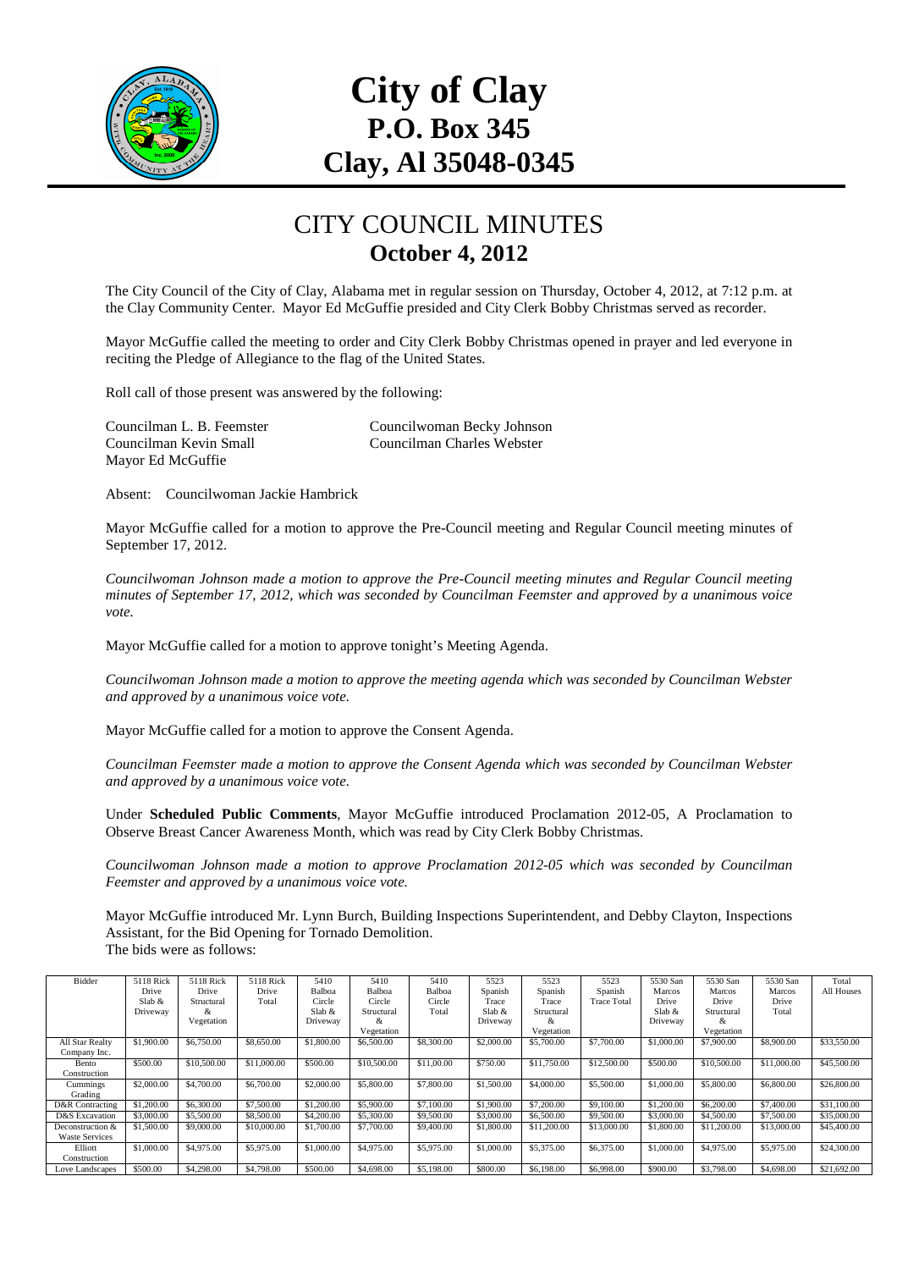

# **City of Clay P.O. Box 345 Clay, Al 35048-0345**

#### CITY COUNCIL MINUTES **October 4, 2012**

The City Council of the City of Clay, Alabama met in regular session on Thursday, October 4, 2012, at 7:12 p.m. at the Clay Community Center. Mayor Ed McGuffie presided and City Clerk Bobby Christmas served as recorder.

Mayor McGuffie called the meeting to order and City Clerk Bobby Christmas opened in prayer and led everyone in reciting the Pledge of Allegiance to the flag of the United States.

Roll call of those present was answered by the following:

Mayor Ed McGuffie

Councilman L. B. Feemster Councilwoman Becky Johnson Councilman Kevin Small Councilman Charles Webster

Absent: Councilwoman Jackie Hambrick

Mayor McGuffie called for a motion to approve the Pre-Council meeting and Regular Council meeting minutes of September 17, 2012.

*Councilwoman Johnson made a motion to approve the Pre-Council meeting minutes and Regular Council meeting minutes of September 17, 2012, which was seconded by Councilman Feemster and approved by a unanimous voice vote.* 

Mayor McGuffie called for a motion to approve tonight's Meeting Agenda.

*Councilwoman Johnson made a motion to approve the meeting agenda which was seconded by Councilman Webster and approved by a unanimous voice vote.* 

Mayor McGuffie called for a motion to approve the Consent Agenda.

*Councilman Feemster made a motion to approve the Consent Agenda which was seconded by Councilman Webster and approved by a unanimous voice vote.* 

Under **Scheduled Public Comments**, Mayor McGuffie introduced Proclamation 2012-05, A Proclamation to Observe Breast Cancer Awareness Month, which was read by City Clerk Bobby Christmas.

*Councilwoman Johnson made a motion to approve Proclamation 2012-05 which was seconded by Councilman Feemster and approved by a unanimous voice vote.* 

Mayor McGuffie introduced Mr. Lynn Burch, Building Inspections Superintendent, and Debby Clayton, Inspections Assistant, for the Bid Opening for Tornado Demolition. The bids were as follows:

| Bidder                | 5118 Rick  | 5118 Rick   | 5118 Rick   | 5410       | 5410        | 5410       | 5523       | 5523        | 5523               | 5530 San   | 5530 San    | 5530 San    | Total       |
|-----------------------|------------|-------------|-------------|------------|-------------|------------|------------|-------------|--------------------|------------|-------------|-------------|-------------|
|                       | Drive      | Drive       | Drive       | Balboa     | Balboa      | Balboa     | Spanish    | Spanish     | Spanish            | Marcos     | Marcos      | Marcos      | All Houses  |
|                       | Slab $\&$  | Structural  | Total       | Circle     | Circle      | Circle     | Trace      | Trace       | <b>Trace Total</b> | Drive      | Drive       | Drive       |             |
|                       | Driveway   | x.          |             | Slab $\&$  | Structural  | Total      | Slab $\&$  | Structural  |                    | Slab $&$   | Structural  | Total       |             |
|                       |            | Vegetation  |             | Driveway   | X.          |            | Driveway   | ×           |                    | Driveway   | &           |             |             |
|                       |            |             |             |            | Vegetation  |            |            | Vegetation  |                    |            | Vegetation  |             |             |
| All Star Realty       | \$1,900.00 | \$6,750.00  | \$8,650.00  | \$1,800.00 | \$6,500.00  | \$8,300.00 | \$2,000.00 | \$5,700.00  | \$7,700.00         | \$1,000.00 | \$7,900.00  | \$8,900.00  | \$33,550.00 |
| Company Inc.          |            |             |             |            |             |            |            |             |                    |            |             |             |             |
| Bento                 | \$500.00   | \$10,500.00 | \$11,000.00 | \$500.00   | \$10,500.00 | \$11,00.00 | \$750.00   | \$11,750.00 | \$12,500.00        | \$500.00   | \$10,500.00 | \$11,000.00 | \$45,500.00 |
| Construction          |            |             |             |            |             |            |            |             |                    |            |             |             |             |
| Cummings              | \$2,000.00 | \$4,700.00  | \$6,700.00  | \$2,000.00 | \$5,800.00  | \$7,800.00 | \$1,500.00 | \$4,000.00  | \$5,500.00         | \$1,000.00 | \$5,800.00  | \$6,800.00  | \$26,800.00 |
| Grading               |            |             |             |            |             |            |            |             |                    |            |             |             |             |
| D&R Contracting       | \$1,200,00 | \$6,300.00  | \$7,500.00  | \$1,200.00 | \$5,900.00  | \$7,100.00 | \$1,900.00 | \$7,200.00  | \$9,100.00         | \$1,200.00 | \$6,200.00  | \$7,400.00  | \$31,100.00 |
| D&S Excavation        | \$3,000.00 | \$5,500.00  | \$8,500,00  | \$4,200.00 | \$5,300,00  | \$9,500.00 | \$3,000.00 | \$6,500.00  | \$9,500.00         | \$3,000.00 | \$4,500.00  | \$7,500.00  | \$35,000,00 |
| Deconstruction &      | \$1,500.00 | \$9,000.00  | \$10,000.00 | \$1,700.00 | \$7,700.00  | \$9,400.00 | \$1,800.00 | \$11,200,00 | \$13,000.00        | \$1,800.00 | \$11,200.00 | \$13,000.00 | \$45,400,00 |
| <b>Waste Services</b> |            |             |             |            |             |            |            |             |                    |            |             |             |             |
| Elliott               | \$1,000.00 | \$4,975.00  | \$5,975.00  | \$1,000.00 | \$4,975.00  | \$5,975.00 | \$1,000.00 | \$5,375.00  | \$6,375.00         | \$1,000.00 | \$4,975.00  | \$5,975.00  | \$24,300.00 |
| Construction          |            |             |             |            |             |            |            |             |                    |            |             |             |             |
| Love Landscapes       | \$500.00   | \$4,298,00  | \$4,798.00  | \$500.00   | \$4,698.00  | \$5,198.00 | \$800.00   | \$6,198.00  | \$6,998.00         | \$900.00   | \$3,798.00  | \$4,698.00  | \$21,692.00 |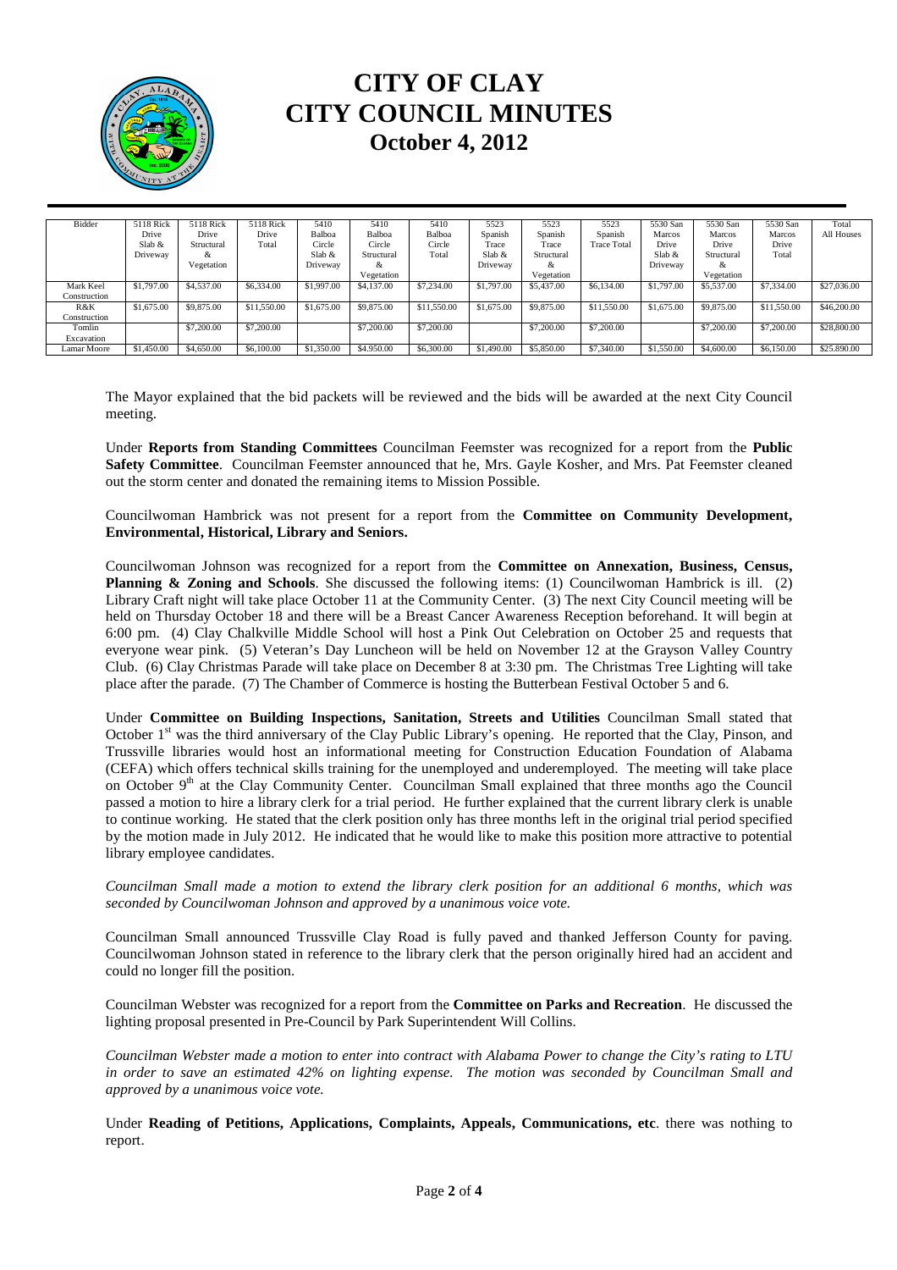

## **CITY OF CLAY CITY COUNCIL MINUTES October 4, 2012**

| Bidder       | 5118 Rick  | 5118 Rick  | 5118 Rick   | 5410       | 5410       | 5410        | 5523       | 5523       | 5523               | 5530 San   | 5530 San   | 5530 San    | Total       |
|--------------|------------|------------|-------------|------------|------------|-------------|------------|------------|--------------------|------------|------------|-------------|-------------|
|              | Drive      | Drive      | Drive       | Balboa     | Balboa     | Balboa      | Spanish    | Spanish    | Spanish            | Marcos     | Marcos     | Marcos      | All Houses  |
|              | Slab &     | Structural | Total       | Circle     | Circle     | Circle      | Trace      | Trace      | <b>Trace Total</b> | Drive      | Drive      | Drive       |             |
|              | Driveway   | &          |             | Slab &     | Structural | Total       | $S$ lab &  | Structural |                    | Slab $\&$  | Structural | Total       |             |
|              |            | Vegetation |             | Driveway   | &          |             | Driveway   | α          |                    | Driveway   | &          |             |             |
|              |            |            |             |            | Vegetation |             |            | Vegetation |                    |            | Vegetation |             |             |
| Mark Keel    | \$1,797.00 | \$4,537.00 | \$6,334.00  | \$1,997.00 | \$4,137,00 | \$7,234.00  | \$1,797.00 | \$5,437.00 | \$6,134.00         | \$1,797.00 | \$5,537.00 | \$7,334,00  | \$27,036.00 |
| Construction |            |            |             |            |            |             |            |            |                    |            |            |             |             |
| R&K          | \$1,675.00 | \$9,875.00 | \$11,550.00 | \$1,675.00 | \$9,875.00 | \$11,550.00 | \$1,675.00 | \$9,875.00 | \$11,550.00        | \$1,675.00 | \$9,875.00 | \$11,550.00 | \$46,200,00 |
| Construction |            |            |             |            |            |             |            |            |                    |            |            |             |             |
| Tomlin       |            | \$7,200,00 | \$7,200,00  |            | \$7,200,00 | \$7,200,00  |            | \$7,200,00 | \$7,200.00         |            | \$7,200,00 | \$7,200,00  | \$28,800.00 |
| Excavation   |            |            |             |            |            |             |            |            |                    |            |            |             |             |
| Lamar Moore  | \$1,450.00 | \$4,650.00 | \$6,100.00  | \$1,350.00 | \$4,950,00 | \$6,300,00  | \$1,490.00 | \$5,850,00 | \$7,340.00         | \$1,550.00 | \$4,600.00 | \$6,150.00  | \$25,890.00 |

The Mayor explained that the bid packets will be reviewed and the bids will be awarded at the next City Council meeting.

Under **Reports from Standing Committees** Councilman Feemster was recognized for a report from the **Public Safety Committee**. Councilman Feemster announced that he, Mrs. Gayle Kosher, and Mrs. Pat Feemster cleaned out the storm center and donated the remaining items to Mission Possible.

Councilwoman Hambrick was not present for a report from the **Committee on Community Development, Environmental, Historical, Library and Seniors.** 

Councilwoman Johnson was recognized for a report from the **Committee on Annexation, Business, Census, Planning & Zoning and Schools**. She discussed the following items: (1) Councilwoman Hambrick is ill. (2) Library Craft night will take place October 11 at the Community Center. (3) The next City Council meeting will be held on Thursday October 18 and there will be a Breast Cancer Awareness Reception beforehand. It will begin at 6:00 pm. (4) Clay Chalkville Middle School will host a Pink Out Celebration on October 25 and requests that everyone wear pink. (5) Veteran's Day Luncheon will be held on November 12 at the Grayson Valley Country Club. (6) Clay Christmas Parade will take place on December 8 at 3:30 pm. The Christmas Tree Lighting will take place after the parade. (7) The Chamber of Commerce is hosting the Butterbean Festival October 5 and 6.

Under **Committee on Building Inspections, Sanitation, Streets and Utilities** Councilman Small stated that October 1<sup>st</sup> was the third anniversary of the Clay Public Library's opening. He reported that the Clay, Pinson, and Trussville libraries would host an informational meeting for Construction Education Foundation of Alabama (CEFA) which offers technical skills training for the unemployed and underemployed. The meeting will take place on October 9<sup>th</sup> at the Clay Community Center. Councilman Small explained that three months ago the Council passed a motion to hire a library clerk for a trial period. He further explained that the current library clerk is unable to continue working. He stated that the clerk position only has three months left in the original trial period specified by the motion made in July 2012. He indicated that he would like to make this position more attractive to potential library employee candidates.

*Councilman Small made a motion to extend the library clerk position for an additional 6 months, which was seconded by Councilwoman Johnson and approved by a unanimous voice vote.* 

Councilman Small announced Trussville Clay Road is fully paved and thanked Jefferson County for paving. Councilwoman Johnson stated in reference to the library clerk that the person originally hired had an accident and could no longer fill the position.

Councilman Webster was recognized for a report from the **Committee on Parks and Recreation**. He discussed the lighting proposal presented in Pre-Council by Park Superintendent Will Collins.

*Councilman Webster made a motion to enter into contract with Alabama Power to change the City's rating to LTU in order to save an estimated 42% on lighting expense. The motion was seconded by Councilman Small and approved by a unanimous voice vote.* 

Under **Reading of Petitions, Applications, Complaints, Appeals, Communications, etc**. there was nothing to report.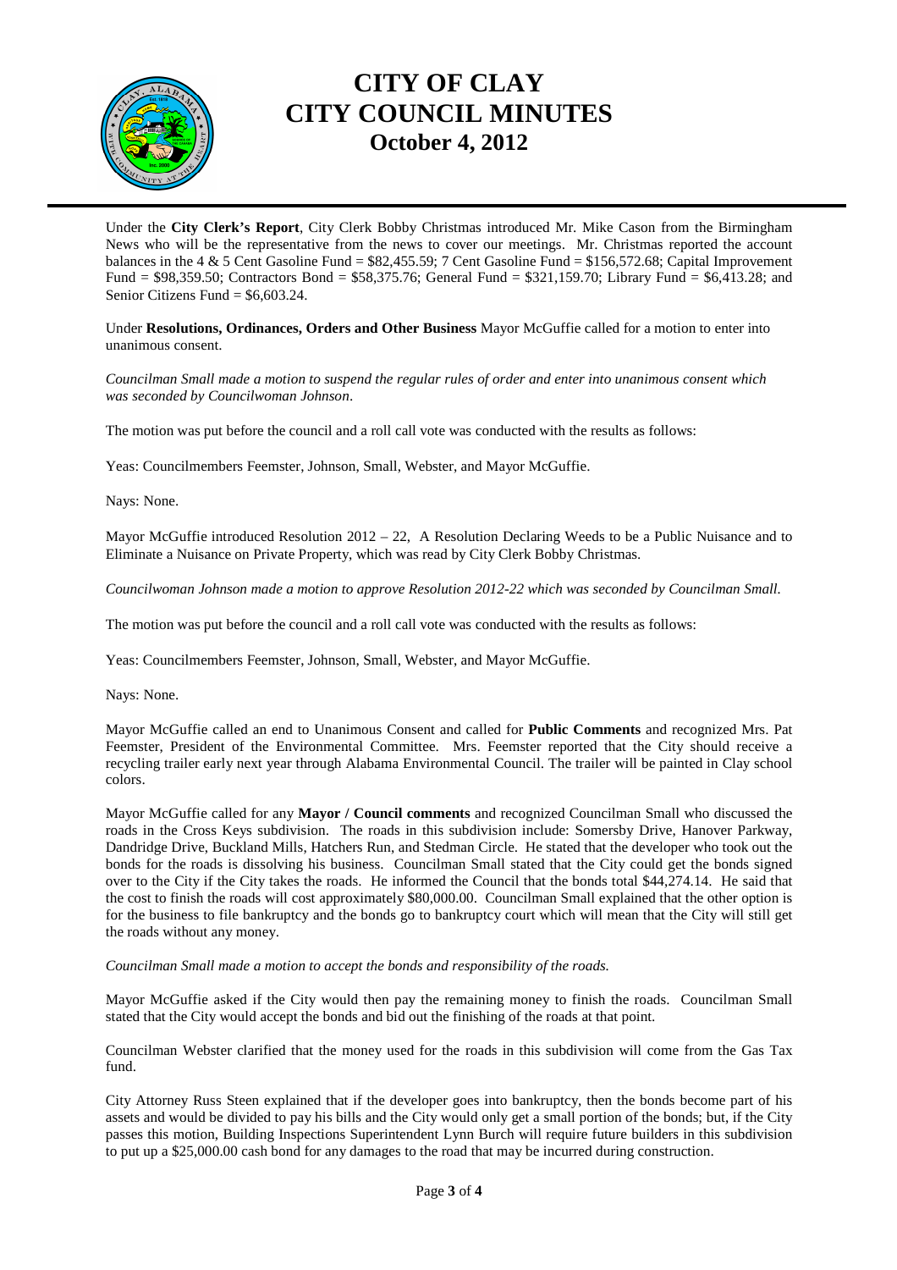

## **CITY OF CLAY CITY COUNCIL MINUTES October 4, 2012**

Under the **City Clerk's Report**, City Clerk Bobby Christmas introduced Mr. Mike Cason from the Birmingham News who will be the representative from the news to cover our meetings. Mr. Christmas reported the account balances in the 4 & 5 Cent Gasoline Fund = \$82,455.59; 7 Cent Gasoline Fund = \$156,572.68; Capital Improvement Fund = \$98,359.50; Contractors Bond = \$58,375.76; General Fund = \$321,159.70; Library Fund = \$6,413.28; and Senior Citizens Fund = \$6,603.24.

Under **Resolutions, Ordinances, Orders and Other Business** Mayor McGuffie called for a motion to enter into unanimous consent.

*Councilman Small made a motion to suspend the regular rules of order and enter into unanimous consent which was seconded by Councilwoman Johnson*.

The motion was put before the council and a roll call vote was conducted with the results as follows:

Yeas: Councilmembers Feemster, Johnson, Small, Webster, and Mayor McGuffie.

Nays: None.

Mayor McGuffie introduced Resolution 2012 – 22, A Resolution Declaring Weeds to be a Public Nuisance and to Eliminate a Nuisance on Private Property, which was read by City Clerk Bobby Christmas.

*Councilwoman Johnson made a motion to approve Resolution 2012-22 which was seconded by Councilman Small.* 

The motion was put before the council and a roll call vote was conducted with the results as follows:

Yeas: Councilmembers Feemster, Johnson, Small, Webster, and Mayor McGuffie.

Nays: None.

Mayor McGuffie called an end to Unanimous Consent and called for **Public Comments** and recognized Mrs. Pat Feemster, President of the Environmental Committee. Mrs. Feemster reported that the City should receive a recycling trailer early next year through Alabama Environmental Council. The trailer will be painted in Clay school colors.

Mayor McGuffie called for any **Mayor / Council comments** and recognized Councilman Small who discussed the roads in the Cross Keys subdivision. The roads in this subdivision include: Somersby Drive, Hanover Parkway, Dandridge Drive, Buckland Mills, Hatchers Run, and Stedman Circle. He stated that the developer who took out the bonds for the roads is dissolving his business. Councilman Small stated that the City could get the bonds signed over to the City if the City takes the roads. He informed the Council that the bonds total \$44,274.14. He said that the cost to finish the roads will cost approximately \$80,000.00. Councilman Small explained that the other option is for the business to file bankruptcy and the bonds go to bankruptcy court which will mean that the City will still get the roads without any money.

*Councilman Small made a motion to accept the bonds and responsibility of the roads.* 

Mayor McGuffie asked if the City would then pay the remaining money to finish the roads. Councilman Small stated that the City would accept the bonds and bid out the finishing of the roads at that point.

Councilman Webster clarified that the money used for the roads in this subdivision will come from the Gas Tax fund.

City Attorney Russ Steen explained that if the developer goes into bankruptcy, then the bonds become part of his assets and would be divided to pay his bills and the City would only get a small portion of the bonds; but, if the City passes this motion, Building Inspections Superintendent Lynn Burch will require future builders in this subdivision to put up a \$25,000.00 cash bond for any damages to the road that may be incurred during construction.